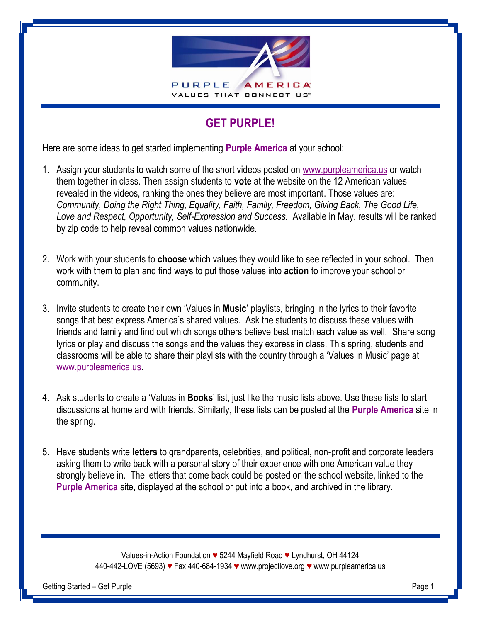

## **GET PURPLE!**

Here are some ideas to get started implementing **Purple America** at your school:

- 1. Assign your students to watch some of the short videos posted on [www.purpleamerica.us](http://www.purpleamerica.us/) or watch them together in class. Then assign students to **vote** at the website on the 12 American values revealed in the videos, ranking the ones they believe are most important. Those values are: *Community, Doing the Right Thing, Equality, Faith, Family, Freedom, Giving Back, The Good Life, Love and Respect, Opportunity, Self-Expression and Success.* Available in May, results will be ranked by zip code to help reveal common values nationwide.
- 2. Work with your students to **choose** which values they would like to see reflected in your school. Then work with them to plan and find ways to put those values into **action** to improve your school or community.
- 3. Invite students to create their own 'Values in **Music**' playlists, bringing in the lyrics to their favorite songs that best express America's shared values. Ask the students to discuss these values with friends and family and find out which songs others believe best match each value as well. Share song lyrics or play and discuss the songs and the values they express in class. This spring, students and classrooms will be able to share their playlists with the country through a 'Values in Music' page at [www.purpleamerica.us.](http://www.purpleamerica.us/)
- 4. Ask students to create a 'Values in **Books**' list, just like the music lists above. Use these lists to start discussions at home and with friends. Similarly, these lists can be posted at the **Purple America** site in the spring.
- 5. Have students write **letters** to grandparents, celebrities, and political, non-profit and corporate leaders asking them to write back with a personal story of their experience with one American value they strongly believe in. The letters that come back could be posted on the school website, linked to the **Purple America** site, displayed at the school or put into a book, and archived in the library.

Values-in-Action Foundation *♥* 5244 Mayfield Road *♥* Lyndhurst, OH 44124 440-442-LOVE (5693) *♥* Fax 440-684-1934 *♥* [www.projectlove.org](http://www.projectlove.org/) *♥* www.purpleamerica.us

Getting Started – Get Purple Page 1